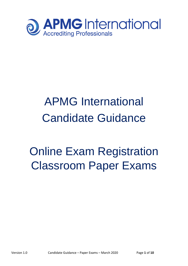

# APMG International Candidate Guidance

## Online Exam Registration Classroom Paper Exams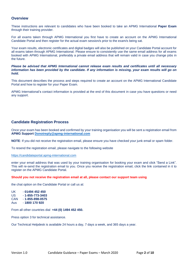## **Overview**

These instructions are relevant to candidates who have been booked to take an APMG International **Paper Exam** through their training provider.

For all exams taken through APMG International you first have to create an account on the APMG International Candidate Portal and then register for the actual exam session/s prior to the exam/s being sat.

Your exam results, electronic certificates and digital badges will also be published on your Candidate Portal account for all exams taken through APMG International. Please ensure to consistently use the same email address for all exams booked with APMG International, preferably a private email address that will remain valid in case you change jobs in the future.

*Please be advised that APMG International cannot release exam results and certificates until all necessary information has been provided by the candidate. If any information is missing, your exam results will go on hold.* 

This document describes the process and steps required to create an account on the APMG International Candidate Portal and how to register for your Paper Exam.

APMG International's contact information is provided at the end of this document in case you have questions or need any support.

## **Candidate Registration Process**

Once your exam has been booked and confirmed by your training organisation you will be sent a registration email from **APMG Support [Donotreply@apmg-international.com](mailto:Donotreply@apmg-international.com)**

**NOTE**: If you did not receive the registration email, please ensure you have checked your junk email or spam folder.

To resend the registration email, please navigate to the following website

[https://candidateportal.apmg-international.com](https://candidateportal.apmg-international.com/)

enter your email address that was used by your training organisation for booking your exam and click "Send a Link". This will re-send the registration email to you. Once you receive the registration email, click the link contained in it to register on the APMG Candidate Portal.

#### **Should you not receive the registration email at all, please contact our support team using**

the chat option on the Candidate Portal or call us at:

UK - **01494 452 450** US - **1-855-773-3403** CAN - **1-855-898-0575** Aus - **1800 170 920**

From all other countries dial **+44 (0) 1494 452 450.**

Press option 3 for technical assistance.

Our Technical Helpdesk is available 24 hours a day, 7 days a week, and 365 days a year.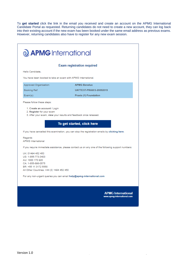To **get started** click the link in the email you received and create an account on the APMG International Candidate Portal as requested. Returning candidates do not need to create a new account, they can log back into their existing account if the new exam has been booked under the same email address as previous exams. However, returning candidates also have to register for any new exam session.

 $\overline{\phantom{0}}$ 

| <b>Q APMG</b> International                                                                                                                            |                                                                                                     |  |
|--------------------------------------------------------------------------------------------------------------------------------------------------------|-----------------------------------------------------------------------------------------------------|--|
|                                                                                                                                                        | <b>Exam registration required</b>                                                                   |  |
| Hello Candidate.                                                                                                                                       |                                                                                                     |  |
| You have been booked to take an exam with APMG International.                                                                                          |                                                                                                     |  |
| Approved Organisation:                                                                                                                                 | <b>APMG Benelux</b>                                                                                 |  |
| Booking Ref:                                                                                                                                           | <b>UATTEST-PRAXIS-20092019</b>                                                                      |  |
| $Exam(s)$ :                                                                                                                                            | Praxis (1) Foundation                                                                               |  |
| Please follow these steps:                                                                                                                             |                                                                                                     |  |
| 1. Create an account / Login<br>2. Register for your exam<br>3. After your exam, view your results and feedback once released.                         | To get started, click here                                                                          |  |
| Regards<br><b>APMG</b> International                                                                                                                   | If you have cancelled this examination, you can stop the registration emails by clicking here.      |  |
|                                                                                                                                                        | If you require immediate assistance, please contact us on any one of the following support numbers: |  |
| UK: 01494 452 450<br>US: 1-855-773-3403<br>AU: 1800 170 920<br>CA: 1-855-898-0575<br>BR: +55 11 3172 5558<br>All Other Countries: +44 (0) 1494 452 450 |                                                                                                     |  |
|                                                                                                                                                        | For any non-urgent queries you can email help@apmg-international.com                                |  |
|                                                                                                                                                        | <b>APMG International</b><br>www.apmg-international.com                                             |  |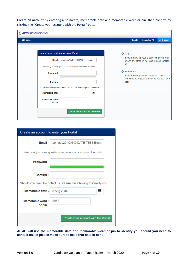**Create an account** by entering a password, memorable date and memorable word or pin, then confirm by clicking the "Create your account with the Portal" button.

| <b>J APMG</b> International |                                                                     |                   |        |                                                                                                   |              |
|-----------------------------|---------------------------------------------------------------------|-------------------|--------|---------------------------------------------------------------------------------------------------|--------------|
| <del>A</del> Exams          |                                                                     |                   | Log In | <b>Contact APMG</b>                                                                               | gi English - |
|                             |                                                                     |                   |        |                                                                                                   |              |
|                             | Create an account to enter your Portal                              | $\bullet$ Help    |        |                                                                                                   |              |
| Email                       | apmgub29+CANDIDATE-TEST@gma                                         | <b>us</b>         |        | If you are having trouble accessing this portal<br>or with any other online issue, please contact |              |
|                             | Welcome, just a few questions to create your account on the portal  |                   |        |                                                                                                   |              |
| Password                    |                                                                     | <b>6</b> Remember |        | If you are using a public computer, please<br>remember to logout from any portals you have        |              |
| Confirm $\star$             |                                                                     | used              |        |                                                                                                   |              |
|                             | Should you need to contact us, we use the following to identify you |                   |        |                                                                                                   |              |
| Memorable date *            | 萹                                                                   |                   |        |                                                                                                   |              |
| Memorable word *<br>or pin  |                                                                     |                   |        |                                                                                                   |              |
|                             | Create your account with the Portal                                 |                   |        |                                                                                                   |              |

| Create an account to enter your Portal |                                                                     |  |
|----------------------------------------|---------------------------------------------------------------------|--|
| Email                                  | apmgub29+CANDIDATE-TEST@gma                                         |  |
|                                        | Welcome, just a few questions to create your account on the portal  |  |
| Password                               |                                                                     |  |
| Confirm $\star$                        |                                                                     |  |
|                                        | Should you need to contact us, we use the following to identify you |  |
| Memorable date *                       | 3 Aug 2034<br>ililil                                                |  |
| Memorable word *<br>or pin             | 8957                                                                |  |
|                                        | Create your account with the Portal                                 |  |

**APMG will use the memorable date and memorable word or pin to identify you should you need to contact us, so please make sure to keep that data in mind!**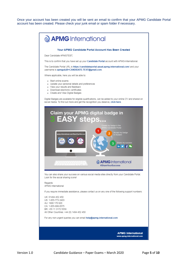Once your account has been created you will be sent an email to confirm that your APMG Candidate Portal account has been created. Please check your junk email or spam folder if necessary.

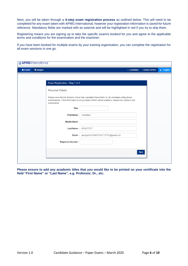Next, you will be taken through a **4-step exam registration process** as outlined below. This will need to be completed for any exam taken with APMG International, however your registration information is saved for future reference. Mandatory fields are marked with an asterisk and will be highlighted in red if you try to skip them.

Registering means you are signing up to take the specific exam/s booked for you and agree to the applicable terms and conditions for the examination and the examiner.

If you have been booked for multiple exams by your training organisation, you can complete the registration for all exam sessions in one go.

| <del>A</del> Exams<br><b>*</b> Badges |                                 |                                                                                                                                                                                                      | Candidate | <b>Contact APMG</b> | ■ English - |
|---------------------------------------|---------------------------------|------------------------------------------------------------------------------------------------------------------------------------------------------------------------------------------------------|-----------|---------------------|-------------|
|                                       |                                 |                                                                                                                                                                                                      |           |                     |             |
|                                       | Exam Registration - Step 1 of 4 |                                                                                                                                                                                                      |           |                     |             |
|                                       | <b>Personal Details</b>         |                                                                                                                                                                                                      |           |                     |             |
|                                       | examination.                    | Please note that the Scheme Owner has mandated these fields for all candidates sitting these<br>examinations. If this information is not provided, APMG will be unable to release the results of the |           |                     |             |
|                                       | <b>Title</b>                    |                                                                                                                                                                                                      |           |                     |             |
|                                       | First Name *                    | Candidate                                                                                                                                                                                            |           |                     |             |
|                                       | <b>Middle Name</b>              |                                                                                                                                                                                                      |           |                     |             |
|                                       | Last Name *                     | <b>APMGTEST</b>                                                                                                                                                                                      |           |                     |             |
|                                       | Email *                         | apmgub29+CANDIDATE-TEST@gmail.com                                                                                                                                                                    |           |                     |             |
|                                       | Telephone Number *              |                                                                                                                                                                                                      |           |                     |             |
|                                       |                                 |                                                                                                                                                                                                      |           |                     |             |
|                                       |                                 |                                                                                                                                                                                                      |           | <b>Next</b>         |             |

**Please ensure to add any academic titles that you would like to be printed on your certificate into the field "First Name" or "Last Name", e.g. Professor, Dr., etc.**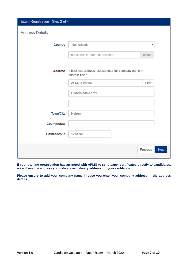| Exam Registration - Step 2 of 4                                                  |                         |
|----------------------------------------------------------------------------------|-------------------------|
| <b>Address Details</b>                                                           |                         |
| Country *<br><b>Netherlands</b>                                                  | ▼                       |
| house name, street or postcode                                                   | lookup                  |
| Address If business address, please enter full company name in<br>address line 1 |                         |
| APMG-Benelux<br>×                                                                | clear                   |
| Huizermaatweg 29                                                                 |                         |
|                                                                                  |                         |
| Town/City *<br>Huizen                                                            |                         |
| County/State                                                                     |                         |
| Postcode/Zip *<br>1273 NA                                                        |                         |
|                                                                                  | Previous<br><b>Next</b> |

**If your training organisation has arranged with APMG to send paper certificates directly to candidates, we will use the address you indicate as delivery address for your certificate.** 

**Please ensure to add your company name in case you enter your company address in the address details.**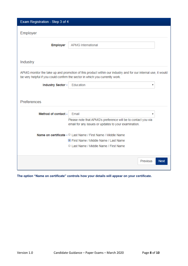| Exam Registration - Step 3 of 4 |                                                                                                                                                                                               |             |
|---------------------------------|-----------------------------------------------------------------------------------------------------------------------------------------------------------------------------------------------|-------------|
| Employer                        |                                                                                                                                                                                               |             |
| <b>Employer</b>                 | <b>APMG International</b>                                                                                                                                                                     |             |
| Industry                        |                                                                                                                                                                                               |             |
|                                 | APMG monitor the take up and promotion of this product within our industry and for our internal use, it would<br>be very helpful if you could confirm the sector in which you currently work. |             |
| Industry Sector *               | Education<br>v                                                                                                                                                                                |             |
| Preferences                     |                                                                                                                                                                                               |             |
| Method of contact ∗             | Email<br>v                                                                                                                                                                                    |             |
|                                 | Please note that APMG's preference will be to contact you via<br>email for any issues or updates to your examination.                                                                         |             |
|                                 | Name on certificate * © Last Name / First Name / Middle Name                                                                                                                                  |             |
|                                 | First Name / Middle Name / Last Name                                                                                                                                                          |             |
|                                 | C Last Name / Middle Name / First Name                                                                                                                                                        |             |
|                                 | Previous                                                                                                                                                                                      | <b>Next</b> |

**The option "Name on certificate" controls how your details will appear on your certificate.**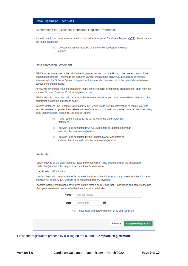|  |  | Exam Registration - Step 4 of 4 |  |  |
|--|--|---------------------------------|--|--|
|--|--|---------------------------------|--|--|

#### Confirmation of Successful Candidate Register Preference

If you do want your name to be included on the online Successful Candidate Register (SCR) please place a tick in the box below.

> I do want my results included on the online successful candidate register

#### **Data Protection Statement**

APMG run examinations on behalf of other organisations who hold the IP and have overall control of the examination scheme - known as the 'Scheme Owner'. Please note that APMG are obliged to provide information to the Scheme Owner on request so they may also hold records of the candidates who have passed their examinations.

APMG will never pass your information on to any other 3rd party or marketing organisations, apart from the relevant Scheme Owner or Proctor/Invigilator service.

APMG will only contact you with regards to the examination(s) that you have taken with us unless you give permission as per the indications below.

In some instances, the Scheme Owners and APMG would like to use this information to contact you with regards to offers or updates they believe will be of use to you. If you do wish to be contacted about anything other than the exam, please tick the box(es) below.

- I have read and agree to the terms within the Data Protection Statement
- I do wish to be contacted by APMG with offers or updates other than to do with the examination(s) taken
- I do wish to be contacted by the Scheme Owner with offers or updates other than to do with the examination(s) taken

#### Declaration

I apply today to sit the examination(s) listed below for which I have booked and for the associated certification(s) upon achieving a pass in a relevant examination.

• Praxis (1) Foundation

I confirm that I will comply with the Terms and Conditions of certification as summarised with this form and shown in full on the APMG website or as requested from my invigilator.

I confirm that the information I have given on this form is correct and that I understand and agree to the use of my personal details described within the criteria for certification.

| Name $\star$ | (your full name)                                    |          |                              |
|--------------|-----------------------------------------------------|----------|------------------------------|
| Date $\star$ | (todays date)                                       | 盖        |                              |
|              | I have read and agree with the Terms and conditions |          |                              |
|              |                                                     |          |                              |
|              |                                                     | Previous | <b>Complete Registration</b> |
|              |                                                     |          |                              |

Finish the registration process by clicking on the button **"Complete Registration"**.